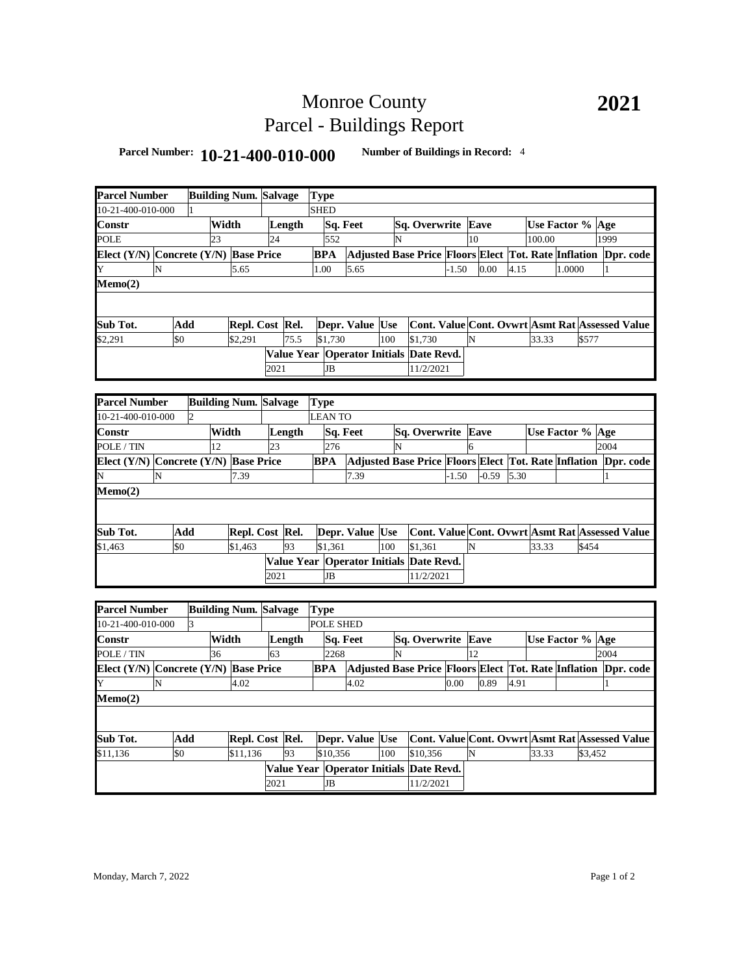# Monroe County Parcel - Buildings Report

### **Parcel Number: 10-21-400-010-000 Number of Buildings in Record:** <sup>4</sup>

|                                               |                                       |                | <b>Building Num. Salvage</b> |                              |      |        |                            |                                                                |     |                                                                |               |      |         |      |                  |        |         |      |  |
|-----------------------------------------------|---------------------------------------|----------------|------------------------------|------------------------------|------|--------|----------------------------|----------------------------------------------------------------|-----|----------------------------------------------------------------|---------------|------|---------|------|------------------|--------|---------|------|--|
| <b>Parcel Number</b><br>10-21-400-010-000     |                                       |                |                              |                              |      |        | <b>Type</b><br><b>SHED</b> |                                                                |     |                                                                |               |      |         |      |                  |        |         |      |  |
|                                               |                                       |                | Width                        |                              |      | Length |                            | Sq. Feet                                                       |     |                                                                |               |      |         |      | Use Factor % Age |        |         |      |  |
| Constr                                        |                                       |                |                              |                              | 24   |        | 552                        |                                                                |     | Sq. Overwrite Eave                                             |               | 10   |         |      | 100.00           |        |         | 1999 |  |
| POLE<br>Elect (Y/N) Concrete (Y/N) Base Price |                                       |                | 23                           |                              |      |        |                            |                                                                | N   |                                                                |               |      |         |      |                  |        |         |      |  |
|                                               |                                       |                |                              |                              |      |        | <b>BPA</b>                 |                                                                |     | Adjusted Base Price Floors Elect Tot. Rate Inflation Dpr. code |               |      |         |      |                  |        |         |      |  |
| Y                                             | N                                     |                |                              | 5.65                         |      |        | 1.00                       | 5.65                                                           |     |                                                                | $-1.50$       |      | 0.00    | 4.15 |                  | 1.0000 |         | 1    |  |
| Memo(2)                                       |                                       |                |                              |                              |      |        |                            |                                                                |     |                                                                |               |      |         |      |                  |        |         |      |  |
|                                               |                                       |                |                              |                              |      |        |                            |                                                                |     |                                                                |               |      |         |      |                  |        |         |      |  |
| Sub Tot.<br>Add                               |                                       |                |                              | Repl. Cost Rel.              |      |        |                            | Depr. Value Use                                                |     | <b>Cont. Value Cont. Ovwrt Asmt Rat Assessed Value</b>         |               |      |         |      |                  |        |         |      |  |
| \$2,291                                       | \$0                                   |                |                              | \$2,291                      |      | 75.5   | \$1.730                    |                                                                | 100 | \$1,730                                                        |               | N    |         |      | 33.33            |        | \$577   |      |  |
|                                               |                                       |                |                              |                              |      |        |                            | Value Year Operator Initials Date Revd.                        |     |                                                                |               |      |         |      |                  |        |         |      |  |
|                                               |                                       |                |                              |                              |      |        |                            |                                                                |     |                                                                |               |      |         |      |                  |        |         |      |  |
|                                               |                                       |                |                              |                              | 2021 |        | <b>JB</b>                  |                                                                |     | 11/2/2021                                                      |               |      |         |      |                  |        |         |      |  |
|                                               |                                       |                |                              |                              |      |        |                            |                                                                |     |                                                                |               |      |         |      |                  |        |         |      |  |
| <b>Parcel Number</b>                          |                                       |                |                              | <b>Building Num. Salvage</b> |      |        | <b>Type</b>                |                                                                |     |                                                                |               |      |         |      |                  |        |         |      |  |
| 10-21-400-010-000                             |                                       | $\overline{2}$ |                              |                              |      |        | <b>LEAN TO</b>             |                                                                |     |                                                                |               |      |         |      |                  |        |         |      |  |
| Constr                                        |                                       |                |                              | Width                        |      | Length |                            | Sq. Feet                                                       |     | Sq. Overwrite                                                  |               | Eave |         |      | Use Factor % Age |        |         |      |  |
| POLE / TIN                                    |                                       |                | 12                           |                              | 23   |        | 276                        |                                                                | N   |                                                                |               | 6    |         |      |                  |        |         | 2004 |  |
| Elect (Y/N) Concrete (Y/N) Base Price         |                                       |                |                              |                              |      |        | <b>BPA</b>                 |                                                                |     | Adjusted Base Price Floors Elect Tot. Rate Inflation Dpr. code |               |      |         |      |                  |        |         |      |  |
| N                                             | N                                     |                |                              | 7.39                         |      |        |                            | 7.39                                                           |     |                                                                | $-1.50$       |      | $-0.59$ | 5.30 |                  |        |         | 1    |  |
| Memo(2)                                       |                                       |                |                              |                              |      |        |                            |                                                                |     |                                                                |               |      |         |      |                  |        |         |      |  |
|                                               |                                       |                |                              |                              |      |        |                            |                                                                |     |                                                                |               |      |         |      |                  |        |         |      |  |
|                                               |                                       |                |                              |                              |      |        |                            |                                                                |     |                                                                |               |      |         |      |                  |        |         |      |  |
| Sub Tot.                                      |                                       | Add            |                              | Repl. Cost Rel.              |      |        |                            | Depr. Value Use                                                |     | Cont. Value Cont. Ovwrt Asmt Rat Assessed Value                |               |      |         |      |                  |        |         |      |  |
| \$1,463                                       | \$0                                   |                |                              | \$1,463                      |      | 93     | \$1.361                    |                                                                | 100 | \$1.361                                                        |               | N    |         |      | 33.33            |        | \$454   |      |  |
|                                               |                                       |                |                              |                              |      |        |                            | Value Year Operator Initials Date Revd.                        |     |                                                                |               |      |         |      |                  |        |         |      |  |
|                                               |                                       |                |                              |                              | 2021 |        | JB                         |                                                                |     | 11/2/2021                                                      |               |      |         |      |                  |        |         |      |  |
|                                               |                                       |                |                              |                              |      |        |                            |                                                                |     |                                                                |               |      |         |      |                  |        |         |      |  |
| <b>Parcel Number</b>                          |                                       |                |                              | <b>Building Num. Salvage</b> |      |        | <b>Type</b>                |                                                                |     |                                                                |               |      |         |      |                  |        |         |      |  |
| 10-21-400-010-000                             |                                       | 3              |                              |                              |      |        | POLE SHED                  |                                                                |     |                                                                |               |      |         |      |                  |        |         |      |  |
| Constr                                        |                                       |                |                              |                              |      |        |                            | Sq. Feet                                                       |     |                                                                | Sq. Overwrite |      | Eave    |      |                  |        |         |      |  |
|                                               |                                       |                | 36                           | Width                        |      | Length |                            |                                                                | N   |                                                                |               |      | 12      |      | Use Factor % Age |        |         | 2004 |  |
| POLE / TIN                                    |                                       |                |                              |                              | 63   |        |                            | 2268                                                           |     |                                                                |               |      |         |      |                  |        |         |      |  |
|                                               | Elect (Y/N) Concrete (Y/N) Base Price |                |                              |                              |      | BPA    |                            | Adjusted Base Price Floors Elect Tot. Rate Inflation Dpr. code |     |                                                                |               |      |         |      |                  |        |         |      |  |
| Y                                             | N                                     |                |                              | 4.02                         |      |        |                            | 4.02                                                           |     |                                                                | 0.00          |      | 0.89    | 4.91 |                  |        |         | 1    |  |
| Memo(2)                                       |                                       |                |                              |                              |      |        |                            |                                                                |     |                                                                |               |      |         |      |                  |        |         |      |  |
|                                               |                                       |                |                              |                              |      |        |                            |                                                                |     |                                                                |               |      |         |      |                  |        |         |      |  |
|                                               |                                       | Add            |                              |                              |      |        |                            |                                                                |     |                                                                |               |      |         |      |                  |        |         |      |  |
| Sub Tot.                                      |                                       |                |                              | Repl. Cost Rel.              |      |        |                            | Depr. Value Use                                                |     | Cont. Value Cont. Ovwrt Asmt Rat Assessed Value                |               |      |         |      |                  |        |         |      |  |
| \$11,136                                      | \$0                                   |                |                              | \$11,136                     |      | 93     | \$10,356                   |                                                                | 100 | \$10,356                                                       |               | N    |         |      | 33.33            |        | \$3,452 |      |  |
|                                               |                                       |                |                              |                              |      |        |                            | Value Year Operator Initials Date Revd.                        |     |                                                                |               |      |         |      |                  |        |         |      |  |
|                                               |                                       |                |                              |                              | 2021 |        | JB                         |                                                                |     | 11/2/2021                                                      |               |      |         |      |                  |        |         |      |  |